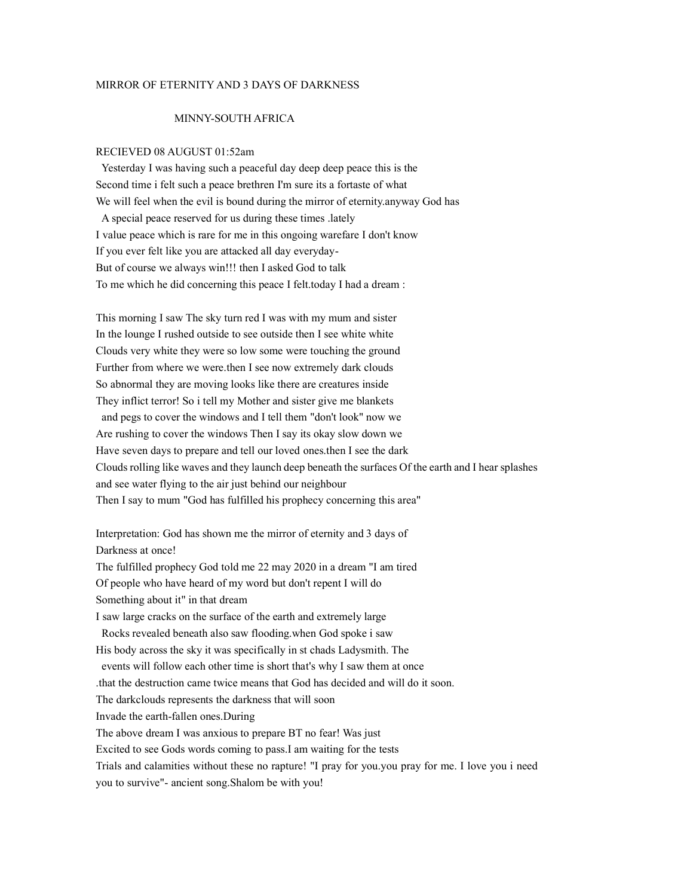## MIRROR OF ETERNITY AND 3 DAYS OF DARKNESS

## MINNY-SOUTH AFRICA

## RECIEVED 08 AUGUST 01:52am

Yesterday I was having such a peaceful day deep deep peace this is the Second time i felt such a peace brethren I'm sure its a fortaste of what We will feel when the evil is bound during the mirror of eternity.anyway God has A special peace reserved for us during these times .lately I value peace which is rare for me in this ongoing warefare I don't know If you ever felt like you are attacked all day everyday-But of course we always win!!! then I asked God to talk To me which he did concerning this peace I felt.today I had a dream :

This morning I saw The sky turn red I was with my mum and sister In the lounge I rushed outside to see outside then I see white white Clouds very white they were so low some were touching the ground Further from where we were.then I see now extremely dark clouds So abnormal they are moving looks like there are creatures inside They inflict terror! So i tell my Mother and sister give me blankets and pegs to cover the windows and I tell them "don't look" now we Are rushing to cover the windows Then I say its okay slow down we Have seven days to prepare and tell our loved ones.then I see the dark Clouds rolling like waves and they launch deep beneath the surfaces Of the earth and I hear splashes and see water flying to the air just behind our neighbour Then I say to mum "God has fulfilled his prophecy concerning this area"

Interpretation: God has shown me the mirror of eternity and 3 days of Darkness at once! The fulfilled prophecy God told me 22 may 2020 in a dream "I am tired Of people who have heard of my word but don't repent I will do Something about it" in that dream I saw large cracks on the surface of the earth and extremely large Rocks revealed beneath also saw flooding.when God spoke i saw His body across the sky it was specifically in st chads Ladysmith. The events will follow each other time is short that's why I saw them at once .that the destruction came twice means that God has decided and will do it soon. The darkclouds represents the darkness that will soon Invade the earth-fallen ones.During The above dream I was anxious to prepare BT no fear! Was just Excited to see Gods words coming to pass.I am waiting for the tests Trials and calamities without these no rapture! "I pray for you.you pray for me. I love you i need you to survive"- ancient song.Shalom be with you!